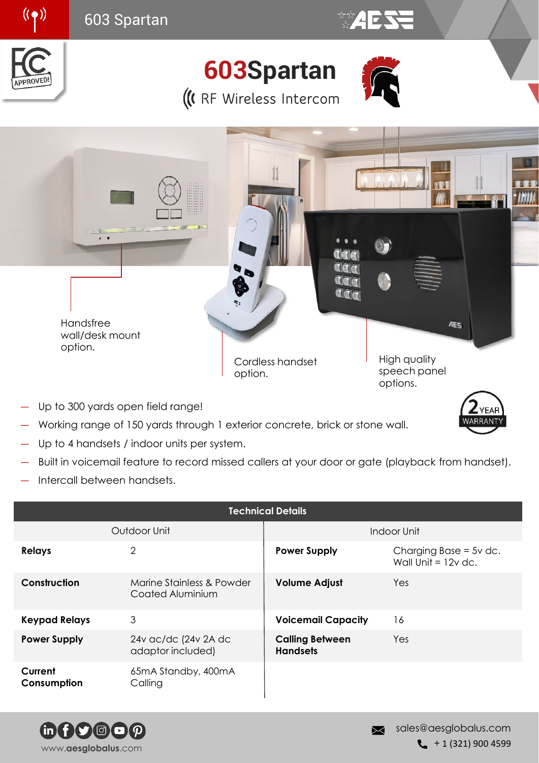

- Up to 300 yards open field range!
- Working range of 150 yards through 1 exterior concrete, brick or stone wall.
- Up to 4 handsets / indoor units per system.
- Built in voicemail feature to record missed callers at your door or gate (playback from handset).
- ― Intercall between handsets.

| <b>Technical Details</b> |                                               |                                           |                                                   |
|--------------------------|-----------------------------------------------|-------------------------------------------|---------------------------------------------------|
| Outdoor Unit             |                                               | Indoor Unit                               |                                                   |
| <b>Relays</b>            | $\overline{2}$                                | <b>Power Supply</b>                       | Charging Base = $5v$ dc.<br>Wall Unit = $12v$ dc. |
| Construction             | Marine Stainless & Powder<br>Coated Aluminium | <b>Volume Adjust</b>                      | Yes                                               |
| <b>Keypad Relays</b>     | 3                                             | <b>Voicemail Capacity</b>                 | 16                                                |
| <b>Power Supply</b>      | 24v ac/dc (24v 2A dc<br>adaptor included)     | <b>Calling Between</b><br><b>Handsets</b> | Yes                                               |
| Current<br>Consumption   | 65mA Standby, 400mA<br>Calling                |                                           |                                                   |



**YEAR IRRAN**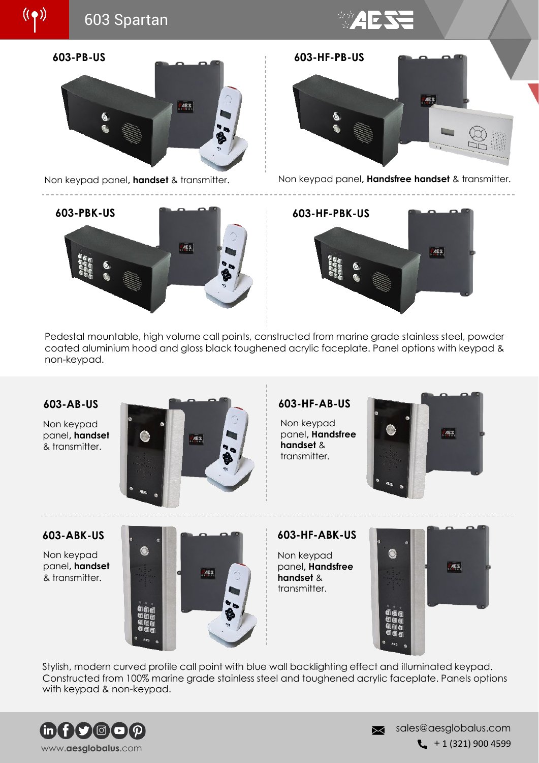







☆☆**4ESS** 

Non keypad panel**, handset** & transmitter. Non keypad panel**, Handsfree handset** & transmitter.



Pedestal mountable, high volume call points, constructed from marine grade stainless steel, powder coated aluminium hood and gloss black toughened acrylic faceplate. Panel options with keypad & non-keypad.



Non keypad panel**, handset**  & transmitter.



Non keypad panel**, Handsfree handset** & transmitter.



Non keypad panel**, handset**  & transmitter.



Non keypad panel**, Handsfree handset** & transmitter.



Stylish, modern curved profile call point with blue wall backlighting effect and illuminated keypad. Constructed from 100% marine grade stainless steel and toughened acrylic faceplate. Panels options with keypad & non-keypad.



sales@aesglobalus.com 网  $\leftarrow$  + 1 (321) 900 4599